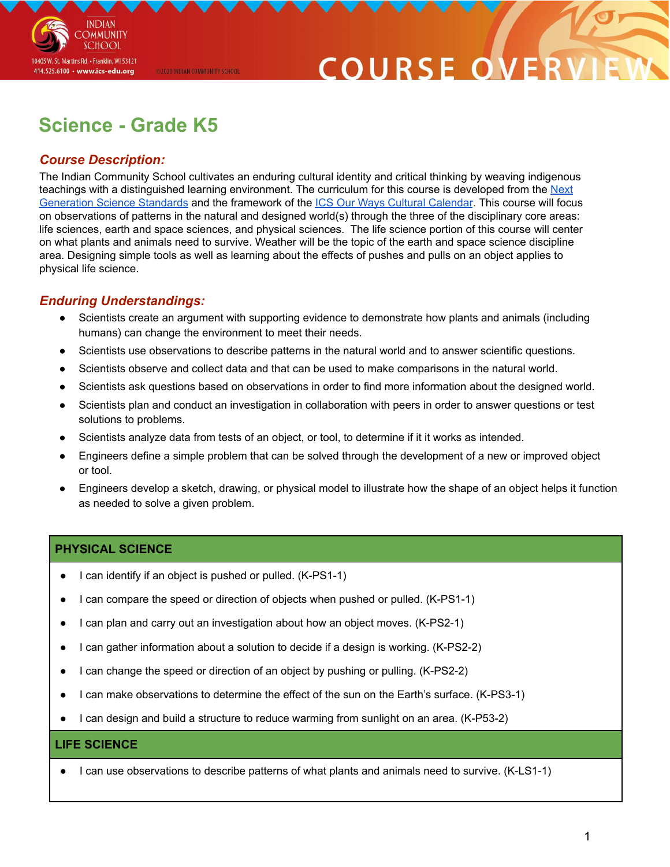

# **COURSE O**

# **Science - Grade K5**

@2020 INDIAN COMMUNITY SCHOOL

## *Course Description:*

The Indian Community School cultivates an enduring cultural identity and critical thinking by weaving indigenous teachings with a distinguished learning environment. The curriculum for this course is developed from the [Next](https://www.nextgenscience.org/overview-topics) [Generation](https://www.nextgenscience.org/overview-topics) Science Standards and the framework of the ICS Our Ways Cultural [Calendar](https://drive.google.com/open?id=0B7pONXiRIufTT3VHOXBBeG9USHMzbDNIUi1nV0NTbURCMFRZ). This course will focus on observations of patterns in the natural and designed world(s) through the three of the disciplinary core areas: life sciences, earth and space sciences, and physical sciences. The life science portion of this course will center on what plants and animals need to survive. Weather will be the topic of the earth and space science discipline area. Designing simple tools as well as learning about the effects of pushes and pulls on an object applies to physical life science.

### *Enduring Understandings:*

- Scientists create an argument with supporting evidence to demonstrate how plants and animals (including humans) can change the environment to meet their needs.
- Scientists use observations to describe patterns in the natural world and to answer scientific questions.
- Scientists observe and collect data and that can be used to make comparisons in the natural world.
- Scientists ask questions based on observations in order to find more information about the designed world.
- Scientists plan and conduct an investigation in collaboration with peers in order to answer questions or test solutions to problems.
- Scientists analyze data from tests of an object, or tool, to determine if it it works as intended.
- Engineers define a simple problem that can be solved through the development of a new or improved object or tool.
- Engineers develop a sketch, drawing, or physical model to illustrate how the shape of an object helps it function as needed to solve a given problem.

#### **PHYSICAL SCIENCE**

- I can identify if an object is pushed or pulled. (K-PS1-1)
- I can compare the speed or direction of objects when pushed or pulled. (K-PS1-1)
- I can plan and carry out an investigation about how an object moves. (K-PS2-1)
- I can gather information about a solution to decide if a design is working. (K-PS2-2)
- I can change the speed or direction of an object by pushing or pulling. (K-PS2-2)
- I can make observations to determine the effect of the sun on the Earth's surface. (K-PS3-1)
- I can design and build a structure to reduce warming from sunlight on an area. (K-P53-2)

#### **LIFE SCIENCE**

I can use observations to describe patterns of what plants and animals need to survive. (K-LS1-1)